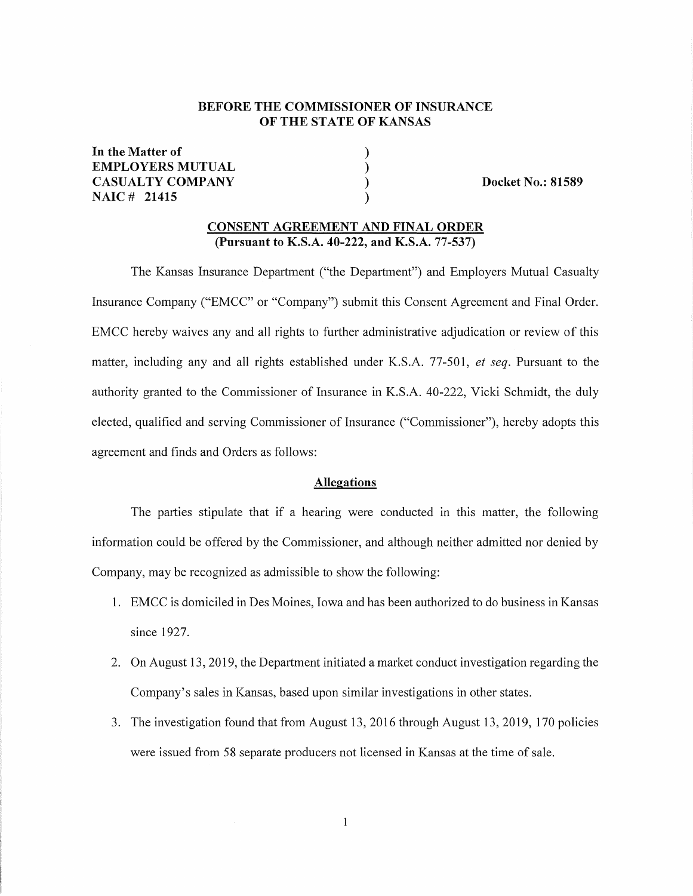# **BEFORE THE COMMISSIONER OF INSURANCE OF THE STATE OF KANSAS**

) ) ) )

**In the Matter of EMPLOYERS MUTUAL CASUALTY COMPANY NAIC # 21415** 

**Docket No.: 81589** 

## **CONSENT AGREEMENT AND FINAL ORDER (Pursuant to K.S.A. 40-222, and K.S.A. 77-537)**

The Kansas Insurance Department ("the Department") and Employers Mutual Casualty Insurance Company ("EMCC" or "Company") submit this Consent Agreement and Final Order. EMCC hereby waives any and all rights to further administrative adjudication or review of this matter, including any and all rights established under K.S.A. 77-501, *et seq.* Pursuant to the authority granted to the Commissioner of Insurance in K.S.A. 40-222, Vicki Schmidt, the duly elected, qualified and serving Commissioner of Insurance ("Commissioner"), hereby adopts this agreement and finds and Orders as follows:

#### **Allegations**

The parties stipulate that if a hearing were conducted in this matter, the following information could be offered by the Commissioner, and although neither admitted nor denied by Company, may be recognized as admissible to show the following:

- 1. EMCC is domiciled in Des Moines, Iowa and has been authorized to do business in Kansas since 1927.
- 2. On August 13, 2019, the Department initiated a market conduct investigation regarding the Company's sales in Kansas, based upon similar investigations in other states.
- 3. The investigation found that from August 13, 2016 through August 13, 2019, 170 policies were issued from 58 separate producers not licensed in Kansas at the time of sale.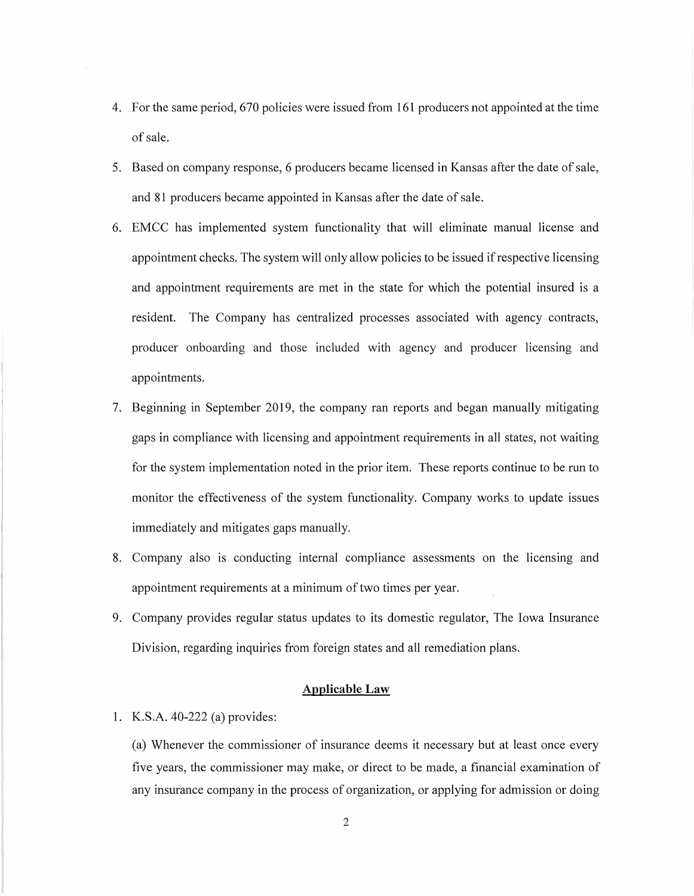- 4. For the same period, 670 policies were issued from 161 producers not appointed at the time of sale.
- 5. Based on company response, 6 producers became licensed in Kansas after the date of sale, and 81 producers became appointed in Kansas after the date of sale.
- 6. EMCC has implemented system functionality that will eliminate manual license and appointment checks. The system will only allow policies to be issued if respective licensing and appointment requirements are met in the state for which the potential insured is a resident. The Company has centralized processes associated with agency contracts, producer onboarding and those included with agency and producer licensing and appointments.
- 7. Beginning in September 2019, the company ran reports and began manually mitigating gaps in compliance with licensing and appointment requirements in all states, not waiting for the system implementation noted in the prior item. These reports continue to be run to monitor the effectiveness of the system functionality. Company works to update issues immediately and mitigates gaps manually.
- 8. Company also is conducting internal compliance assessments on the licensing and appointment requirements at a minimum of two times per year.
- 9. Company provides regular status updates to its domestic regulator, The Iowa Insurance Division, regarding inquiries from foreign states and all remediation plans.

## **Applicable Law**

1. K.S.A. 40-222 (a) provides:

(a) Whenever the commissioner of insurance deems it necessary but at least once every five years, the commissioner may make, or direct to be made, a financial examination of any insurance company in the process of organization, or applying for admission or doing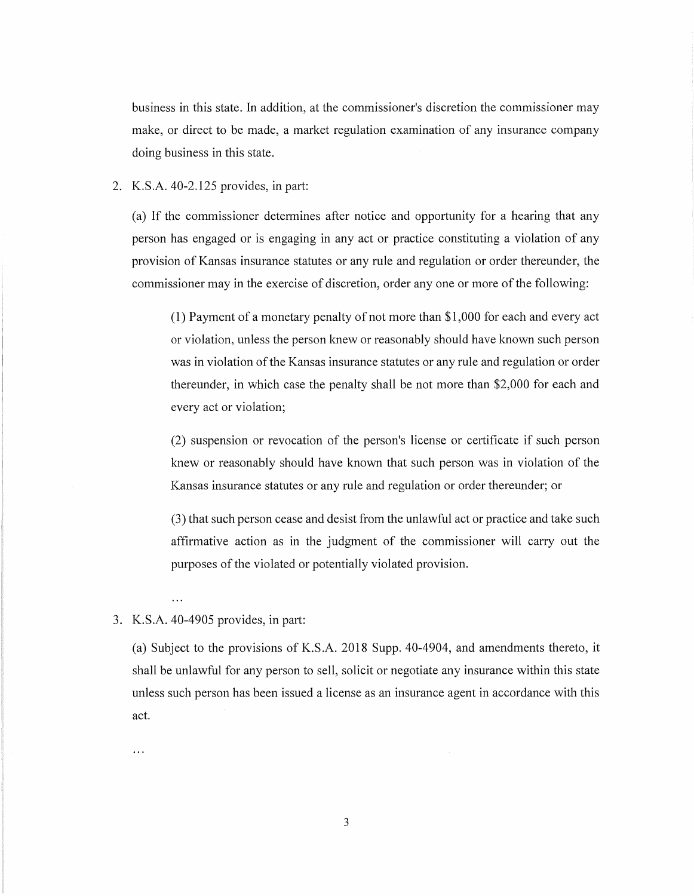business in this state. In addition, at the commissioner's discretion the commissioner may make, or direct to be made, a market regulation examination of any insurance company doing business in this state.

#### 2. K.S.A. 40-2.125 provides, in part:

(a) If the commissioner determines after notice and opportunity for a hearing that any person has engaged or is engaging in any act or practice constituting a violation of any provision of Kansas insurance statutes or any rule and regulation or order thereunder, the commissioner may in the exercise of discretion, order any one or more of the following:

(1) Payment of a monetary penalty of not more than \$1,000 for each and every act or violation, unless the person knew or reasonably should have known such person was in violation of the Kansas insurance statutes or any rule and regulation or order thereunder, in which case the penalty shall be not more than \$2,000 for each and every act or violation;

(2) suspension or revocation of the person's license or certificate if such person knew or reasonably should have known that such person was in violation of the Kansas insurance statutes or any rule and regulation or order thereunder; or

(3) that such person cease and desist from the unlawful act or practice and take such affirmative action as in the judgment of the commissioner will carry out the purposes of the violated or potentially violated provision.

## 3. K.S.A. 40-4905 provides, in part:

 $\ddotsc$ 

 $\ddotsc$ 

(a) Subject to the provisions of K.S.A. 2018 Supp. 40-4904, and amendments thereto, it shall be unlawful for any person to sell, solicit or negotiate any insurance within this state unless such person has been issued a license as an insurance agent in accordance with this act.

3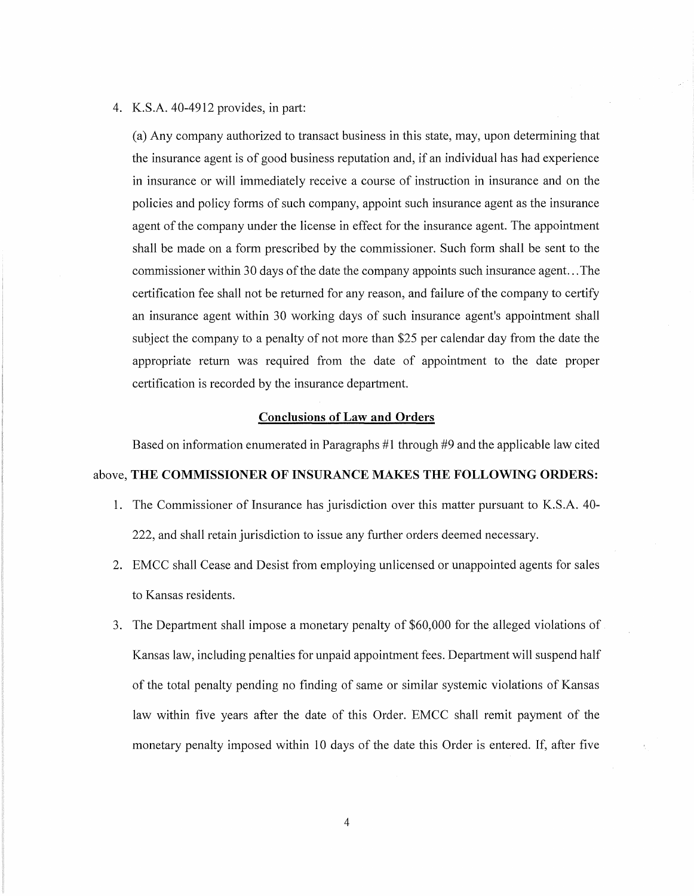#### 4. K.S.A. 40-4912 provides, in part:

(a) Any company authorized to transact business in this state, may, upon determining that the insurance agent is of good business reputation and, if an individual has had experience in insurance or will immediately receive a course of instruction in insurance and on the policies and policy forms of such company, appoint such insurance agent as the insurance agent of the company under the license in effect for the insurance agent. The appointment shall be made on a form prescribed by the commissioner. Such form shall be sent to the commissioner within 30 days of the date the company appoints such insurance agent... The certification fee shall not be returned for any reason, and failure of the company to certify an insurance agent within 30 working days of such insurance agent's appointment shall subject the company to a penalty of not more than \$25 per calendar day from the date the appropriate return was required from the date of appointment to the date proper certification is recorded by the insurance department.

#### **Conclusions of Law and Orders**

Based on information enumerated in Paragraphs  $#1$  through  $#9$  and the applicable law cited

#### above, **THE COMMISSIONER OF INSURANCE MAKES THE FOLLOWING ORDERS:**

- 1. The Commissioner of Insurance has jurisdiction over this matter pursuant to K.S.A. 40- 222, and shall retain jurisdiction to issue any further orders deemed necessary.
- 2. EMCC shall Cease and Desist from employing unlicensed or unappointed agents for sales to Kansas residents.
- 3. The Department shall impose a monetary penalty of \$60,000 for the alleged violations of Kansas law, including penalties for unpaid appointment fees. Department will suspend half of the total penalty pending no finding of same or similar systemic violations of Kansas law within five years after the date of this Order. EMCC shall remit payment of the monetary penalty imposed within 10 days of the date this Order is entered. If, after five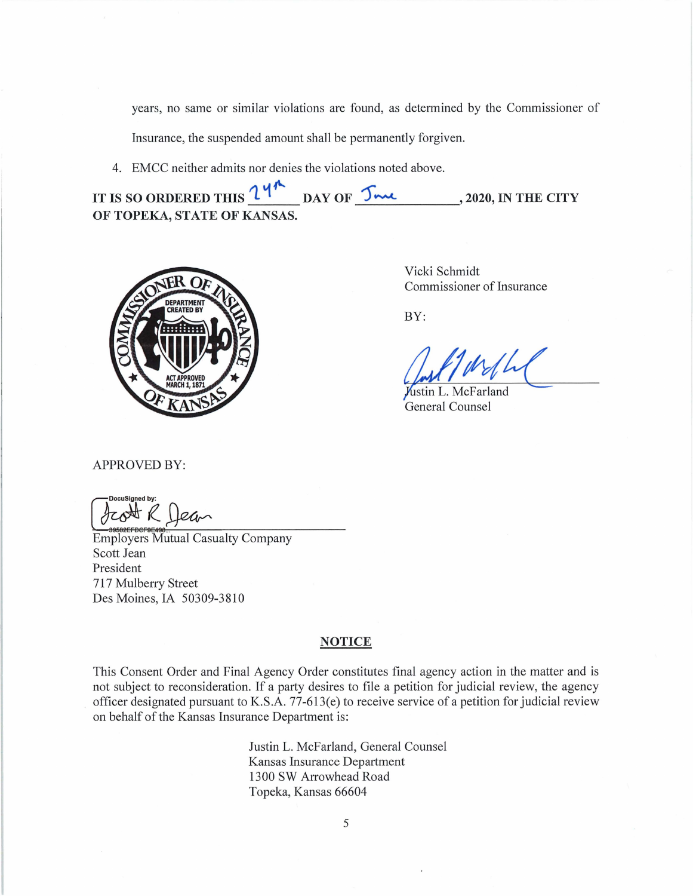years, no same or similar violations are found, as determined by the Commissioner of

Insurance, the suspended amount shall be permanently forgiven.

4. EMCC neither admits nor denies the violations noted above.

**IT IS SO ORDERED THIS**  $\frac{14^{4}}{24}$  **day of**  $\frac{54}{4}$ **, 2020, IN THE CITY OF TOPEKA, STATE OF KANSAS.** 



Vicki Schmidt Commissioner of Insurance

BY:

 $M/h$ 

ustin L. McFarland General Counsel

APPROVED BY:

DocuSigned by:<br>Corrected **R** 

*CO*<sup>SQ</sup> **A** *Head*<br>
SUPPOSE Mutual Casualty Company Scott Jean President 717 Mulberry Street Des Moines, IA 50309-3810

## **NOTICE**

This Consent Order and Final Agency Order constitutes final agency action in the matter and is not subject to reconsideration. If a party desires to file a petition for judicial review, the agency officer designated pursuant to K.S.A. 77-613(e) to receive service of a petition for judicial review on behalf of the Kansas Insurance Department is:

> Justin L. McFarland, General Counsel Kansas Insurance Department 1300 SW Arrowhead Road Topeka, Kansas 66604